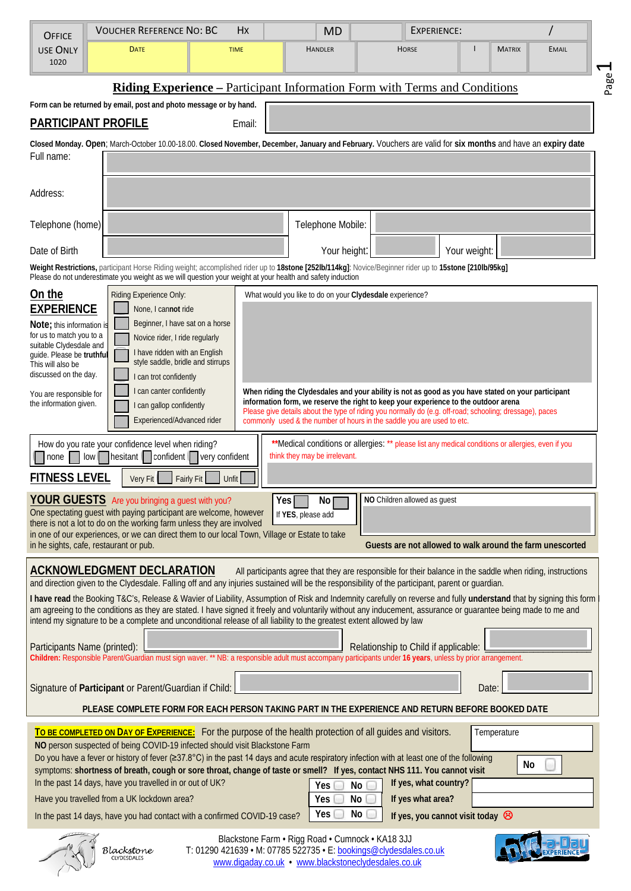| <b>OFFICE</b>                                                                                                                                                                                                                                                                                                                                                 | <b>VOUCHER REFERENCE NO: BC</b>                                                                                       |                            | <b>MD</b>                                                                                               | <b>EXPERIENCE:</b>                                                                                                                                                                                                                                                                                                                  |               |                       |  |
|---------------------------------------------------------------------------------------------------------------------------------------------------------------------------------------------------------------------------------------------------------------------------------------------------------------------------------------------------------------|-----------------------------------------------------------------------------------------------------------------------|----------------------------|---------------------------------------------------------------------------------------------------------|-------------------------------------------------------------------------------------------------------------------------------------------------------------------------------------------------------------------------------------------------------------------------------------------------------------------------------------|---------------|-----------------------|--|
| <b>USE ONLY</b><br>1020                                                                                                                                                                                                                                                                                                                                       | <b>DATE</b>                                                                                                           | <b>TIME</b>                | <b>HANDLER</b>                                                                                          | <b>HORSE</b>                                                                                                                                                                                                                                                                                                                        | <b>MATRIX</b> | <b>EMAIL</b>          |  |
|                                                                                                                                                                                                                                                                                                                                                               |                                                                                                                       |                            |                                                                                                         | <b>Riding Experience – Participant Information Form with Terms and Conditions</b>                                                                                                                                                                                                                                                   |               | $\Gamma^{\text{age}}$ |  |
| Form can be returned by email, post and photo message or by hand.                                                                                                                                                                                                                                                                                             |                                                                                                                       |                            |                                                                                                         |                                                                                                                                                                                                                                                                                                                                     |               |                       |  |
|                                                                                                                                                                                                                                                                                                                                                               | <b>PARTICIPANT PROFILE</b>                                                                                            | Email:                     |                                                                                                         |                                                                                                                                                                                                                                                                                                                                     |               |                       |  |
| Closed Monday. Open; March-October 10.00-18.00. Closed November, December, January and February. Vouchers are valid for six months and have an expiry date                                                                                                                                                                                                    |                                                                                                                       |                            |                                                                                                         |                                                                                                                                                                                                                                                                                                                                     |               |                       |  |
| Full name:                                                                                                                                                                                                                                                                                                                                                    |                                                                                                                       |                            |                                                                                                         |                                                                                                                                                                                                                                                                                                                                     |               |                       |  |
| Address:                                                                                                                                                                                                                                                                                                                                                      |                                                                                                                       |                            |                                                                                                         |                                                                                                                                                                                                                                                                                                                                     |               |                       |  |
| Telephone (home)                                                                                                                                                                                                                                                                                                                                              |                                                                                                                       |                            | Telephone Mobile:                                                                                       |                                                                                                                                                                                                                                                                                                                                     |               |                       |  |
| Date of Birth                                                                                                                                                                                                                                                                                                                                                 |                                                                                                                       |                            | Your height:                                                                                            |                                                                                                                                                                                                                                                                                                                                     | Your weight:  |                       |  |
| Weight Restrictions, participant Horse Riding weight; accomplished rider up to 18stone [252lb/114kg]: Novice/Beginner rider up to 15stone [210lb/95kg]<br>Please do not underestimate you weight as we will question your weight at your health and safety induction                                                                                          |                                                                                                                       |                            |                                                                                                         |                                                                                                                                                                                                                                                                                                                                     |               |                       |  |
| On the<br>Riding Experience Only:<br>What would you like to do on your Clydesdale experience?                                                                                                                                                                                                                                                                 |                                                                                                                       |                            |                                                                                                         |                                                                                                                                                                                                                                                                                                                                     |               |                       |  |
| <b>EXPERIENCE</b>                                                                                                                                                                                                                                                                                                                                             | None, I cannot ride                                                                                                   |                            |                                                                                                         |                                                                                                                                                                                                                                                                                                                                     |               |                       |  |
| Beginner, I have sat on a horse<br>Note; this information is<br>for us to match you to a<br>Novice rider, I ride regularly                                                                                                                                                                                                                                    |                                                                                                                       |                            |                                                                                                         |                                                                                                                                                                                                                                                                                                                                     |               |                       |  |
| suitable Clydesdale and<br>I have ridden with an English<br>quide. Please be truthful                                                                                                                                                                                                                                                                         |                                                                                                                       |                            |                                                                                                         |                                                                                                                                                                                                                                                                                                                                     |               |                       |  |
| This will also be<br>discussed on the day.                                                                                                                                                                                                                                                                                                                    | style saddle, bridle and stirrups<br>I can trot confidently                                                           |                            |                                                                                                         |                                                                                                                                                                                                                                                                                                                                     |               |                       |  |
| I can canter confidently<br>When riding the Clydesdales and your ability is not as good as you have stated on your participant<br>You are responsible for                                                                                                                                                                                                     |                                                                                                                       |                            |                                                                                                         |                                                                                                                                                                                                                                                                                                                                     |               |                       |  |
| information form, we reserve the right to keep your experience to the outdoor arena<br>the information given.<br>I can gallop confidently<br>Please give details about the type of riding you normally do (e.g. off-road; schooling; dressage), paces<br>Experienced/Advanced rider<br>commonly used & the number of hours in the saddle you are used to etc. |                                                                                                                       |                            |                                                                                                         |                                                                                                                                                                                                                                                                                                                                     |               |                       |  |
|                                                                                                                                                                                                                                                                                                                                                               |                                                                                                                       |                            |                                                                                                         |                                                                                                                                                                                                                                                                                                                                     |               |                       |  |
| **Medical conditions or allergies: ** please list any medical conditions or allergies, even if you<br>How do you rate your confidence level when riding?<br>think they may be irrelevant.<br>$\sqrt{\frac{1}{1}}$ hesitant $\sqrt{\frac{1}{1}}$ confident $\sqrt{\frac{1}{1}}$ very confident<br>none<br>low <sub>1</sub>                                     |                                                                                                                       |                            |                                                                                                         |                                                                                                                                                                                                                                                                                                                                     |               |                       |  |
| <b>FITNESS LEVEL</b>                                                                                                                                                                                                                                                                                                                                          | Very Fit                                                                                                              | <b>Fairly Fit</b><br>Unfit |                                                                                                         |                                                                                                                                                                                                                                                                                                                                     |               |                       |  |
|                                                                                                                                                                                                                                                                                                                                                               | YOUR GUESTS Are you bringing a guest with you?                                                                        |                            | Yes<br>No <sub>l</sub>                                                                                  | NO Children allowed as guest                                                                                                                                                                                                                                                                                                        |               |                       |  |
| One spectating guest with paying participant are welcome, however<br>If YES, please add<br>there is not a lot to do on the working farm unless they are involved                                                                                                                                                                                              |                                                                                                                       |                            |                                                                                                         |                                                                                                                                                                                                                                                                                                                                     |               |                       |  |
| in one of our experiences, or we can direct them to our local Town, Village or Estate to take<br>Guests are not allowed to walk around the farm unescorted<br>in he sights, cafe, restaurant or pub.                                                                                                                                                          |                                                                                                                       |                            |                                                                                                         |                                                                                                                                                                                                                                                                                                                                     |               |                       |  |
|                                                                                                                                                                                                                                                                                                                                                               | <b>ACKNOWLEDGMENT DECLARATION</b>                                                                                     |                            |                                                                                                         | All participants agree that they are responsible for their balance in the saddle when riding, instructions<br>and direction given to the Clydesdale. Falling off and any injuries sustained will be the responsibility of the participant, parent or guardian.                                                                      |               |                       |  |
|                                                                                                                                                                                                                                                                                                                                                               |                                                                                                                       |                            |                                                                                                         | I have read the Booking T&C's, Release & Wavier of Liability, Assumption of Risk and Indemnity carefully on reverse and fully understand that by signing this form<br>am agreeing to the conditions as they are stated. I have signed it freely and voluntarily without any inducement, assurance or guarantee being made to me and |               |                       |  |
|                                                                                                                                                                                                                                                                                                                                                               | intend my signature to be a complete and unconditional release of all liability to the greatest extent allowed by law |                            |                                                                                                         |                                                                                                                                                                                                                                                                                                                                     |               |                       |  |
| Participants Name (printed):                                                                                                                                                                                                                                                                                                                                  |                                                                                                                       |                            |                                                                                                         | Relationship to Child if applicable:                                                                                                                                                                                                                                                                                                |               |                       |  |
|                                                                                                                                                                                                                                                                                                                                                               |                                                                                                                       |                            |                                                                                                         | Children: Responsible Parent/Guardian must sign waver. ** NB: a responsible adult must accompany participants under 16 years, unless by prior arrangement.                                                                                                                                                                          |               |                       |  |
|                                                                                                                                                                                                                                                                                                                                                               | Signature of Participant or Parent/Guardian if Child:                                                                 |                            |                                                                                                         |                                                                                                                                                                                                                                                                                                                                     | Date:         |                       |  |
| PLEASE COMPLETE FORM FOR EACH PERSON TAKING PART IN THE EXPERIENCE AND RETURN BEFORE BOOKED DATE                                                                                                                                                                                                                                                              |                                                                                                                       |                            |                                                                                                         |                                                                                                                                                                                                                                                                                                                                     |               |                       |  |
|                                                                                                                                                                                                                                                                                                                                                               |                                                                                                                       |                            |                                                                                                         |                                                                                                                                                                                                                                                                                                                                     | Temperature   |                       |  |
| To BE COMPLETED ON DAY OF EXPERIENCE: For the purpose of the health protection of all guides and visitors.<br>NO person suspected of being COVID-19 infected should visit Blackstone Farm                                                                                                                                                                     |                                                                                                                       |                            |                                                                                                         |                                                                                                                                                                                                                                                                                                                                     |               |                       |  |
| Do you have a fever or history of fever (≥37.8°C) in the past 14 days and acute respiratory infection with at least one of the following<br>No<br>symptoms: shortness of breath, cough or sore throat, change of taste or smell? If yes, contact NHS 111. You cannot visit                                                                                    |                                                                                                                       |                            |                                                                                                         |                                                                                                                                                                                                                                                                                                                                     |               |                       |  |
| In the past 14 days, have you travelled in or out of UK?<br>If yes, what country?<br>No<br>Yes                                                                                                                                                                                                                                                                |                                                                                                                       |                            |                                                                                                         |                                                                                                                                                                                                                                                                                                                                     |               |                       |  |
| <b>No</b><br>Have you travelled from a UK lockdown area?<br>If yes what area?<br>Yes                                                                                                                                                                                                                                                                          |                                                                                                                       |                            |                                                                                                         |                                                                                                                                                                                                                                                                                                                                     |               |                       |  |
| No<br>Yes<br>In the past 14 days, have you had contact with a confirmed COVID-19 case?<br>If yes, you cannot visit today $\otimes$                                                                                                                                                                                                                            |                                                                                                                       |                            |                                                                                                         |                                                                                                                                                                                                                                                                                                                                     |               |                       |  |
|                                                                                                                                                                                                                                                                                                                                                               | 3lackstone<br><b><i>IYDESDALE</i></b>                                                                                 |                            | Blackstone Farm · Rigg Road · Cumnock · KA18 3JJ<br>www.digaday.co.uk • www.blackstoneclydesdales.co.uk | T: 01290 421639 • M: 07785 522735 • E: bookings@clydesdales.co.uk                                                                                                                                                                                                                                                                   |               |                       |  |

Page